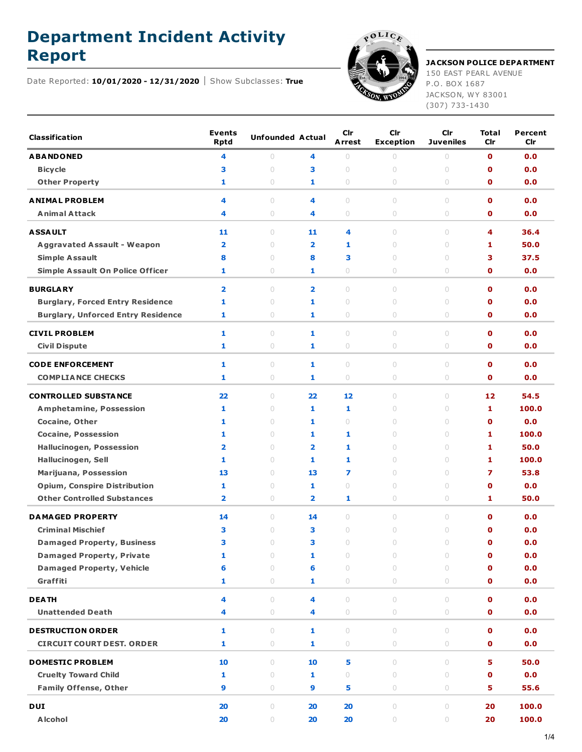## **Department Incident Activity**



## **Report JACKSON POLICE DEPARTMENT**

150 EAST PEARL AVENUE P.O. BOX 1687 JACKSON, WY 83001 (307) 733-1430

Date Reported: **10/01/2020 - 12/31/2020** Show Subclasses: **True**

| <b>Classification</b>                     | <b>Events</b><br><b>Rptd</b> | <b>Unfounded Actual</b>          |                         | <b>Cir</b><br><b>Arrest</b>      | Cir<br><b>Exception</b> | Cir<br><b>Juveniles</b>          | Total<br>Cir | Percent<br>Cir |
|-------------------------------------------|------------------------------|----------------------------------|-------------------------|----------------------------------|-------------------------|----------------------------------|--------------|----------------|
| <b>ABANDONED</b>                          | 4                            | $\cup$                           | 4                       | $\circ$                          | $\circ$                 | $\circ$                          | $\mathbf{0}$ | 0.0            |
| <b>Bicycle</b>                            | 3                            | $\cup$                           | з                       | $\cup$                           | $\cup$                  | $\cup$                           | $\mathbf o$  | 0.0            |
| <b>Other Property</b>                     | 1                            | $\circ$                          | 1                       | $\circ$                          | $\circ$                 | $\circ$                          | $\mathbf o$  | 0.0            |
| <b>ANIMAL PROBLEM</b>                     | 4                            | $\cup$                           | 4                       | $\begin{array}{c} \n\end{array}$ | $\cup$                  | $\begin{array}{c} \n\end{array}$ | $\mathbf o$  | 0.0            |
| <b>Animal Attack</b>                      | 4                            | 0                                | 4                       | $\circ$                          | $\circ$                 | $\circ$                          | $\mathbf o$  | 0.0            |
| <b>ASSAULT</b>                            | 11                           | $\begin{array}{c} \n\end{array}$ | 11                      | 4                                | $\cup$                  | $\begin{array}{c} \n\end{array}$ | 4            | 36.4           |
| <b>Aggravated Assault - Weapon</b>        | $\overline{\mathbf{2}}$      | $\circ$                          | $\overline{\mathbf{2}}$ | 1                                | $\circ$                 | $\circ$                          | 1            | 50.0           |
| <b>Simple Assault</b>                     | 8                            | 0                                | 8                       | 3                                | 0                       | $\begin{array}{c} \n\end{array}$ | 3            | 37.5           |
| <b>Simple Assault On Police Officer</b>   | 1                            | 0                                | 1                       | $\circ$                          | $\circ$                 | $\circ$                          | $\mathbf o$  | 0.0            |
| <b>BURGLARY</b>                           | $\overline{\mathbf{2}}$      | $\cup$                           | $\overline{\mathbf{2}}$ | $\cup$                           | $\cup$                  | $\begin{array}{c} \n\end{array}$ | $\mathbf{0}$ | 0.0            |
| <b>Burglary, Forced Entry Residence</b>   | 1                            | $\circ$                          | 1                       | $\cup$                           | $\circ$                 | $\circ$                          | $\mathbf o$  | 0.0            |
| <b>Burglary, Unforced Entry Residence</b> | 1                            | 0                                | 1                       | $\circ$                          | 0                       | $\circ$                          | $\mathbf o$  | 0.0            |
| <b>CIVIL PROBLEM</b>                      | 1                            | $\cup$                           | 1                       | $\cup$                           | $\circ$                 | $\cup$                           | $\mathbf o$  | 0.0            |
| <b>Civil Dispute</b>                      | 1                            | 0                                | 1                       | $\circ$                          | 0                       | $\circ$                          | $\mathbf{0}$ | 0.0            |
|                                           |                              |                                  |                         |                                  |                         |                                  |              |                |
| <b>CODE ENFORCEMENT</b>                   | 1                            | $\circ$                          | 1                       | $\circ$                          | $\circ$                 | $\circ$                          | $\mathbf o$  | 0.0            |
| <b>COMPLIANCE CHECKS</b>                  | 1                            | 0                                | 1                       | $\circ$                          | 0                       | $\circ$                          | $\mathbf o$  | 0.0            |
| <b>CONTROLLED SUBSTANCE</b>               | 22                           | $\cup$                           | 22                      | 12                               | $\circ$                 | $\cup$                           | 12           | 54.5           |
| <b>Amphetamine, Possession</b>            | 1                            | $\begin{array}{c} \n\end{array}$ | 1                       | 1                                | 0                       | $\begin{array}{c} \n\end{array}$ | 1            | 100.0          |
| Cocaine, Other                            | 1                            | $\cup$                           | 1                       | $\begin{array}{c} \n\end{array}$ | $\circ$                 | $\begin{array}{c} \n\end{array}$ | $\mathbf o$  | 0.0            |
| <b>Cocaine, Possession</b>                | 1                            | $\begin{array}{c} \n\end{array}$ | 1                       | 1                                | $\cup$                  | $\begin{array}{c} \n\end{array}$ | 1            | 100.0          |
| <b>Hallucinogen, Possession</b>           | $\overline{\mathbf{2}}$      | $\cup$                           | $\overline{2}$          | 1                                | $\circ$                 | $\begin{array}{c} \n\end{array}$ | 1            | 50.0           |
| Hallucinogen, Sell                        | 1                            | $\cup$                           | 1                       | 1                                | $\cup$                  | $\begin{array}{c} \n\end{array}$ | 1            | 100.0          |
| Marijuana, Possession                     | 13                           | $\circ$                          | 13                      | 7                                | $\circ$                 | $\circ$                          | 7            | 53.8           |
| <b>Opium, Conspire Distribution</b>       | 1                            | $\circ$                          | 1                       | $\begin{array}{c} \n\end{array}$ | 0                       | $\begin{array}{c} \n\end{array}$ | $\mathbf o$  | 0.0            |
| <b>Other Controlled Substances</b>        | $\overline{\mathbf{2}}$      | $\circ$                          | 2                       | 1                                | $\circ$                 | $\circ$                          | 1            | 50.0           |
| <b>DAMAGED PROPERTY</b>                   | 14                           | $\cup$                           | 14                      | $\begin{array}{c} \n\end{array}$ | $\circ$                 | $\begin{array}{c} \n\end{array}$ | $\mathbf{0}$ | 0.0            |
| <b>Criminal Mischief</b>                  | з                            | $\circ$                          | З                       | $\bigcirc$                       | $\circ$                 | $\bigcirc$                       | $\mathbf o$  | 0.0            |
| <b>Damaged Property, Business</b>         | 3                            | $\cup$                           | 3                       | $\begin{array}{c} \n\end{array}$ | $\cup$                  | $\begin{array}{c} \n\end{array}$ | $\mathbf o$  | 0.0            |
| <b>Damaged Property, Private</b>          | 1                            | $\circ$                          | 1                       | $\circ$                          | $\circ$                 | $\circ$                          | $\mathbf 0$  | 0.0            |
| <b>Damaged Property, Vehicle</b>          | 6                            | $\circ$                          | 6                       | $\circ$                          | $\circ$                 | $\circ$                          | $\mathbf 0$  | 0.0            |
| Graffiti                                  | 1                            | $\circ$                          | 1                       | $\bigcirc$                       | $\circlearrowright$     | $\circ$                          | $\mathbf 0$  | 0.0            |
| <b>DEATH</b>                              | 4                            | $\circ$                          | 4                       | $\circ$                          | $\circ$                 | $\circ$                          | $\mathbf 0$  | 0.0            |
| <b>Unattended Death</b>                   | 4                            | $\circ$                          | 4                       | $\bigcirc$                       | $\circ$                 | 0                                | $\mathbf 0$  | 0.0            |
| <b>DESTRUCTION ORDER</b>                  | 1                            | $\circ$                          | 1                       | $\circ$                          | $\circ$                 | $\begin{array}{c} \n\end{array}$ | $\mathbf{o}$ | 0.0            |
| <b>CIRCUIT COURT DEST. ORDER</b>          | 1                            | $\bigcirc$                       | 1                       | $\bigcirc$                       | $\bigcirc$              | $\circ$                          | $\mathbf 0$  | 0.0            |
| <b>DOMESTIC PROBLEM</b>                   | 10                           | $\bigcirc$                       | 10                      | 5                                | $\circ$                 | $\circ$                          | 5            | 50.0           |
| <b>Cruelty Toward Child</b>               | 1                            | $\circ$                          | 1                       | $\circ$                          | $\bigcirc$              | $\circ$                          | $\mathbf 0$  | 0.0            |
| <b>Family Offense, Other</b>              | 9                            | $\circ$                          | 9                       | 5                                | $\bigcirc$              | $\circ$                          | 5            | 55.6           |
| <b>DUI</b>                                | 20                           | $\bigcirc$                       | 20                      | 20                               | $\bigcirc$              | $\bigcirc$                       | 20           | 100.0          |
| <b>Alcohol</b>                            | 20                           | 0                                | 20                      | 20                               | 0                       | $\circ$                          | 20           | 100.0          |
|                                           |                              |                                  |                         |                                  |                         |                                  |              |                |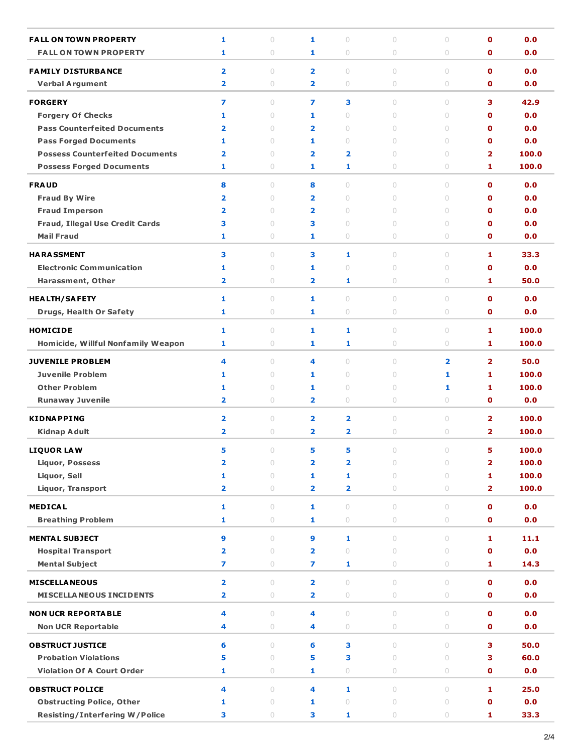| <b>FALL ON TOWN PROPERTY</b>           | 1                       | $\circ$                          | 1                       | $\circ$                          | $\circ$    | $\circ$                          | $\mathbf o$             | 0.0         |
|----------------------------------------|-------------------------|----------------------------------|-------------------------|----------------------------------|------------|----------------------------------|-------------------------|-------------|
| <b>FALL ON TOWN PROPERTY</b>           | 1                       | 0                                | 1                       | $\circ$                          | $\circ$    | $\circ$                          | O                       | 0.0         |
| <b>FAMILY DISTURBANCE</b>              | $\overline{\mathbf{2}}$ | $\begin{array}{c} \n\end{array}$ | $\overline{\mathbf{2}}$ | $\cup$                           | $\cup$     | $\cup$                           | $\mathbf{O}$            | 0.0         |
| <b>Verbal Argument</b>                 | $\overline{\mathbf{2}}$ | $\circ$                          | 2                       | $\cup$                           | 0          | $\circ$                          | $\mathbf{0}$            | 0.0         |
|                                        |                         |                                  |                         |                                  |            |                                  |                         |             |
| <b>FORGERY</b>                         | $\overline{\mathbf{z}}$ | $\circ$                          | 7                       | 3                                | $\circ$    | $\circ$                          | 3                       | 42.9        |
| <b>Forgery Of Checks</b>               | 1                       | $\begin{array}{c} \n\end{array}$ | 1                       | $\begin{array}{c} \n\end{array}$ | $\cup$     | $\circ$                          | $\mathbf 0$             | 0.0         |
| <b>Pass Counterfeited Documents</b>    | $\overline{\mathbf{2}}$ | $\cup$                           | 2                       | $\cup$                           | $\cup$     | $\begin{array}{c} \n\end{array}$ | $\mathbf 0$             | 0.0         |
| <b>Pass Forged Documents</b>           | 1                       | $\cup$                           | 1                       | $\begin{array}{c} \n\end{array}$ | 0          | $\circ$                          | $\mathbf 0$             | 0.0         |
| <b>Possess Counterfeited Documents</b> | 2                       | $\circ$                          | 2                       | $\overline{\mathbf{2}}$          | 0          | $\circ$                          | 2                       | 100.0       |
| <b>Possess Forged Documents</b>        | 1                       | $\circ$                          | 1                       | 1                                | 0          | $\circ$                          | 1                       | 100.0       |
| <b>FRAUD</b>                           | 8                       | $\bigcirc$                       | 8                       | $\cup$                           | $\cup$     | $\cup$                           | $\mathbf 0$             | 0.0         |
| <b>Fraud By Wire</b>                   | $\overline{\mathbf{2}}$ | $\begin{array}{c} \n\end{array}$ | 2                       | $\cup$                           | 0          | $\begin{array}{c} \n\end{array}$ | $\mathbf 0$             | 0.0         |
| <b>Fraud Imperson</b>                  | $\overline{2}$          | $\circ$                          | 2                       | $\circ$                          | 0          | $\circ$                          | $\mathbf 0$             | 0.0         |
| Fraud, Illegal Use Credit Cards        | 3                       | $\circ$                          | З                       | $\bigcirc$                       | 0          | $\cup$                           | O                       | 0.0         |
| <b>Mail Fraud</b>                      | 1                       | $\circ$                          | 1                       | 0                                | 0          | $\circ$                          | $\mathbf o$             | 0.0         |
| <b>HARASSMENT</b>                      | 3                       | $\begin{array}{c} \n\end{array}$ | 3                       | 1                                | 0          | $\cup$                           | 1                       | 33.3        |
| <b>Electronic Communication</b>        | 1                       | $\circ$                          | 1                       | $\circ$                          | $\circ$    | $\circ$                          | $\mathbf o$             | 0.0         |
| Harassment, Other                      | 2                       | $\circ$                          | 2                       | 1                                | 0          | $\circ$                          | 1                       | 50.0        |
|                                        |                         |                                  |                         |                                  |            |                                  |                         |             |
| <b>HEALTH/SAFETY</b>                   | 1                       | $\circ$                          | 1                       | $\cup$                           | $\circ$    | $\circ$                          | $\mathbf 0$             | 0.0         |
| <b>Drugs, Health Or Safety</b>         | 1                       | $\circ$                          | 1                       | $\circ$                          | 0          | $\circ$                          | $\mathbf 0$             | 0.0         |
| <b>HOMICIDE</b>                        | $\mathbf{1}$            | $\circ$                          | 1                       | 1                                | $\circ$    | $\circ$                          | 1                       | 100.0       |
| Homicide, Willful Nonfamily Weapon     | 1                       | $\circ$                          | 1                       | 1                                | 0          | $\circ$                          | 1                       | 100.0       |
| <b>JUVENILE PROBLEM</b>                | 4                       | $\bigcirc$                       | 4                       | $\cup$                           | $\cup$     | $\overline{\mathbf{2}}$          | $\overline{2}$          | 50.0        |
| <b>Juvenile Problem</b>                | 1                       | $\begin{array}{c} \n\end{array}$ | 1                       | $\begin{array}{c} \n\end{array}$ | 0          | 1                                | 1                       | 100.0       |
| <b>Other Problem</b>                   | 1                       | $\circ$                          | 1                       | $\circ$                          | 0          | 1                                | 1                       | 100.0       |
| <b>Runaway Juvenile</b>                | 2                       | $\circ$                          | 2                       | 0                                | 0          | $\circ$                          | O                       | 0.0         |
|                                        |                         |                                  |                         |                                  |            |                                  |                         |             |
| <b>KIDNAPPING</b>                      | $\overline{\mathbf{2}}$ | $\circ$                          | $\overline{\mathbf{2}}$ | $\overline{\mathbf{2}}$          | $\circ$    | $\circ$                          | $\overline{\mathbf{2}}$ | 100.0       |
| Kidnap Adult                           | $\overline{2}$          | $\circ$                          | 2                       | $\overline{\mathbf{2}}$          | 0          | $\circ$                          | $\overline{2}$          | 100.0       |
| <b>LIQUOR LAW</b>                      | 5                       | $\circ$                          | 5                       | 5                                | $\circ$    | $\circ$                          | 5                       | 100.0       |
| <b>Liquor, Possess</b>                 | $\overline{\mathbf{2}}$ | $\circ$                          | 2                       | $\overline{\mathbf{2}}$          | $\circ$    | $\circ$                          | $\overline{\mathbf{2}}$ | 100.0       |
| Liquor, Sell                           | 1                       | $\circ$                          | 1                       | 1                                | $\cup$     | $\circ$                          | 1                       | 100.0       |
| <b>Liquor, Transport</b>               | $\overline{\mathbf{2}}$ | $\circ$                          | 2                       | $\overline{\mathbf{2}}$          | $\circ$    | $\circ$                          | $\overline{2}$          | 100.0       |
| <b>MEDICAL</b>                         | $\mathbf{1}$            | $\circ$                          | $\mathbf{1}$            | $\begin{array}{c} \n\end{array}$ | $\circ$    | $\circ$                          | $\mathbf o$             | 0.0         |
| <b>Breathing Problem</b>               | $\mathbf{1}$            | 0                                | 1                       | $\circ$                          | $\circ$    | $\circ$                          | $\mathbf 0$             | 0.0         |
| <b>MENTAL SUBJECT</b>                  | $\boldsymbol{9}$        | $\begin{array}{c} \n\end{array}$ | 9                       | 1                                | $\circ$    | $\circ$                          | $\mathbf{1}$            | 11.1        |
| <b>Hospital Transport</b>              | $\overline{\mathbf{2}}$ | $\begin{array}{c} \n\end{array}$ | $\overline{\mathbf{2}}$ | $\circ$                          | $\circ$    | $\circ$                          | $\mathbf o$             | 0.0         |
| <b>Mental Subject</b>                  | $\overline{ }$          | $\circ$                          | 7                       | 1                                | $\circ$    | $\circlearrowright$              | 1                       | 14.3        |
|                                        |                         |                                  |                         |                                  |            |                                  |                         |             |
| <b>MISCELLANEOUS</b>                   | $\overline{\mathbf{2}}$ | $\circ$                          | $\overline{\mathbf{2}}$ | $\begin{array}{c} \n\end{array}$ | $\circ$    | $\circ$                          | $\mathbf o$             | 0.0         |
| <b>MISCELLA NEOUS INCIDENTS</b>        | 2                       | $\circlearrowright$              | $\overline{\mathbf{2}}$ | $\bigcirc$                       | $\bigcirc$ | $\circ$                          | $\mathbf 0$             | 0.0         |
| <b>NON UCR REPORTABLE</b>              | 4                       | $\circ$                          | 4                       | $\circ$                          | $\circ$    | $\circ$                          | $\mathbf o$             | 0.0         |
| <b>Non UCR Reportable</b>              | 4                       | 0                                | 4                       | $\bigcirc$                       | $\circ$    | $\circlearrowright$              | $\mathbf o$             | 0.0         |
| <b>OBSTRUCT JUSTICE</b>                |                         | $\circ$                          |                         |                                  | $\circ$    | $\begin{array}{c} \n\end{array}$ | 3                       | 50.0        |
| <b>Probation Violations</b>            | 6<br>5                  | $\circ$                          | 6<br>5                  | 3<br>3                           | $\circ$    | $\circ$                          | з                       |             |
| <b>Violation Of A Court Order</b>      | 1                       | $\circlearrowright$              | 1                       | $\circ$                          | $\circ$    | $\circ$                          | $\mathbf o$             | 60.0<br>0.0 |
|                                        |                         |                                  |                         |                                  |            |                                  |                         |             |
| <b>OBSTRUCT POLICE</b>                 | 4                       | $\circ$                          | 4                       | 1                                | $\circ$    | $\circ$                          | 1                       | 25.0        |
| <b>Obstructing Police, Other</b>       | 1                       | $\circlearrowright$              | 1                       | $\circ$                          | $\circ$    | $\circ$                          | O                       | 0.0         |
| <b>Resisting/Interfering W/Police</b>  | З                       | $\circ$                          | 3                       | 1                                | $\circ$    | $\bigcirc$                       | 1                       | 33.3        |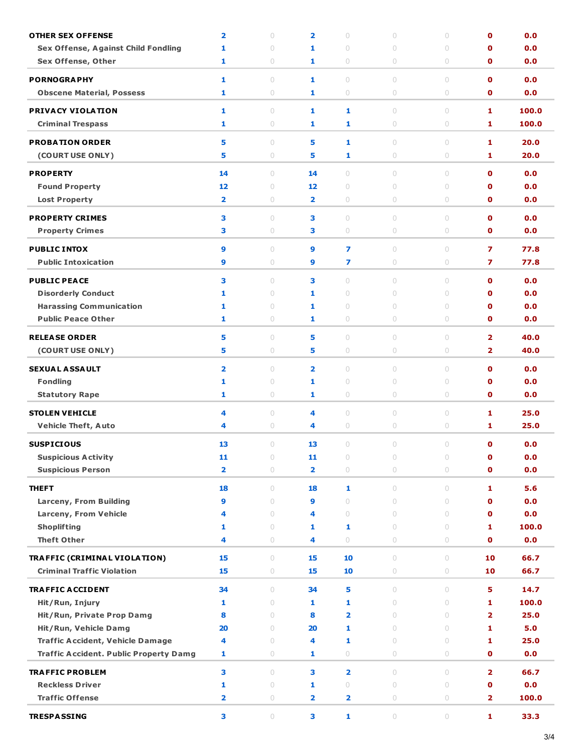| <b>OTHER SEX OFFENSE</b>                      | $\overline{\mathbf{2}}$ | $\circ$    | $\overline{\mathbf{2}}$ | 0                       | $\circ$                          | 0       | $\mathbf 0$    | 0.0   |
|-----------------------------------------------|-------------------------|------------|-------------------------|-------------------------|----------------------------------|---------|----------------|-------|
| <b>Sex Offense, Against Child Fondling</b>    | 1                       | $\circ$    | 1                       | $\circ$                 | $\circ$                          | $\circ$ | O              | 0.0   |
| <b>Sex Offense, Other</b>                     | 1                       | $\circ$    | 1                       | 0                       | $\circ$                          | 0       | O              | 0.0   |
| <b>PORNOGRAPHY</b>                            | 1                       | $\circ$    | 1                       | $\circ$                 | $\begin{array}{c} \n\end{array}$ | $\circ$ | $\mathbf 0$    | 0.0   |
| <b>Obscene Material, Possess</b>              | 1                       | $\circ$    | 1                       | 0                       | $\circ$                          | 0       | $\mathbf 0$    | 0.0   |
|                                               |                         |            |                         |                         |                                  |         |                |       |
| PRIVACY VIOLATION                             | 1                       | $\circ$    | 1                       | 1                       | $\circ$                          | $\circ$ | 1              | 100.0 |
| <b>Criminal Trespass</b>                      | 1                       | $\circ$    | 1                       | 1                       | $\circ$                          | 0       | 1              | 100.0 |
| <b>PROBATION ORDER</b>                        | 5                       | $\circ$    | 5                       | 1                       | $\circ$                          | $\circ$ | 1              | 20.0  |
| (COURT USE ONLY)                              | 5                       | $\circ$    | 5                       | 1                       | $\circ$                          | 0       | 1              | 20.0  |
| <b>PROPERTY</b>                               | 14                      | $\circ$    | 14                      | $\circ$                 | $\circ$                          | $\circ$ | $\mathbf 0$    | 0.0   |
| <b>Found Property</b>                         | 12                      | $\circ$    | 12                      | 0                       | $\circ$                          | 0       | O              | 0.0   |
| <b>Lost Property</b>                          | $\overline{\mathbf{2}}$ | $\circ$    | 2                       | 0                       | $\circ$                          | 0       | $\mathbf 0$    | 0.0   |
|                                               |                         |            |                         |                         |                                  |         |                |       |
| <b>PROPERTY CRIMES</b>                        | 3                       | $\circ$    | з                       | 0                       | $\circ$                          | 0       | $\mathbf 0$    | 0.0   |
| <b>Property Crimes</b>                        | 3                       | $\circ$    | з                       | $\circ$                 | $\circ$                          | $\circ$ | $\mathbf 0$    | 0.0   |
| <b>PUBLIC INTOX</b>                           | 9                       | $\circ$    | 9                       | 7                       | $\circ$                          | 0       | 7              | 77.8  |
| <b>Public Intoxication</b>                    | 9                       | $\circ$    | 9                       | 7                       | $\circ$                          | 0       | 7              | 77.8  |
|                                               |                         |            |                         |                         |                                  |         |                |       |
| <b>PUBLIC PEACE</b>                           | 3                       | $\circ$    | з                       | 0                       | $\circ$                          | 0       | $\mathbf 0$    | 0.0   |
| <b>Disorderly Conduct</b>                     | 1                       | $\circ$    | 1                       | $\circ$                 | $\circ$                          | $\circ$ | O              | 0.0   |
| <b>Harassing Communication</b>                | 1                       | $\circ$    | 1                       | 0                       | $\circ$                          | 0       | O              | 0.0   |
| <b>Public Peace Other</b>                     | 1                       | $\circ$    | 1                       | 0                       | $\circ$                          | 0       | $\mathbf 0$    | 0.0   |
| <b>RELEASE ORDER</b>                          | 5                       | $\circ$    | 5                       | 0                       | $\circ$                          | 0       | $\overline{2}$ | 40.0  |
| (COURT USE ONLY)                              | 5                       | $\circ$    | 5                       | $\circ$                 | $\circ$                          | $\circ$ | $\overline{2}$ | 40.0  |
| <b>SEXUAL ASSAULT</b>                         | $\overline{\mathbf{2}}$ | $\circ$    | $\overline{\mathbf{2}}$ | 0                       | $\circ$                          | $\circ$ | $\mathbf o$    | 0.0   |
| <b>Fondling</b>                               | 1                       | $\circ$    | 1                       | 0                       | $\circ$                          | $\circ$ | O              | 0.0   |
| <b>Statutory Rape</b>                         | 1                       | $\circ$    | 1                       | 0                       | $\circ$                          | 0       | 0              | 0.0   |
|                                               |                         |            |                         |                         |                                  |         |                |       |
| <b>STOLEN VEHICLE</b>                         | 4                       | $\circ$    | 4                       | $\circ$                 | $\circ$                          | $\circ$ | 1              | 25.0  |
| <b>Vehicle Theft, Auto</b>                    | 4                       | $\circ$    | 4                       | 0                       | $\circ$                          | 0       | 1              | 25.0  |
| <b>SUSPICIOUS</b>                             | 13                      | $\circ$    | 13                      | 0                       | $\circ$                          | $\circ$ | $\mathbf 0$    | 0.0   |
| <b>Suspicious Activity</b>                    | 11                      | $\circ$    | 11                      | 0                       | $\circ$                          | 0       | $\mathbf 0$    | 0.0   |
| <b>Suspicious Person</b>                      | $\overline{\mathbf{2}}$ | $\bigcirc$ | 2                       | $\circ$                 | $\circlearrowright$              | $\circ$ | $\mathbf o$    | 0.0   |
| <b>THEFT</b>                                  | 18                      | $\circ$    | 18                      | 1                       | $\circ$                          | $\circ$ | 1              | 5.6   |
| Larceny, From Building                        | 9                       | $\circ$    | 9                       | $\circ$                 | $\circ$                          | $\circ$ | $\mathbf o$    | 0.0   |
| Larceny, From Vehicle                         | 4                       | $\circ$    | 4                       | $\circ$                 | $\circ$                          | $\circ$ | $\mathbf o$    | 0.0   |
| <b>Shoplifting</b>                            | 1                       | $\circ$    | 1                       | 1                       | $\circ$                          | $\circ$ | 1              | 100.0 |
| <b>Theft Other</b>                            | 4                       | $\bigcirc$ | 4                       | $\circ$                 | $\circ$                          | 0       | $\mathbf 0$    | 0.0   |
|                                               |                         |            |                         |                         |                                  |         |                |       |
| TRAFFIC (CRIMINAL VIOLATION)                  | 15                      | $\circ$    | 15                      | 10                      | $\circ$                          | $\circ$ | 10             | 66.7  |
| <b>Criminal Traffic Violation</b>             | 15                      | 0          | 15                      | 10                      | $\circlearrowright$              | 0       | 10             | 66.7  |
| <b>TRAFFIC ACCIDENT</b>                       | 34                      | $\circ$    | 34                      | 5                       | $\circ$                          | 0       | 5              | 14.7  |
| Hit/Run, Injury                               | 1                       | $\circ$    | 1                       | 1                       | $\bigcirc$                       | $\circ$ | 1              | 100.0 |
| Hit/Run, Private Prop Damg                    | 8                       | $\circ$    | 8                       | $\overline{\mathbf{2}}$ | $\circ$                          | $\circ$ | $\overline{2}$ | 25.0  |
| Hit/Run, Vehicle Damg                         | 20                      | $\circ$    | 20                      | 1                       | $\circ$                          | $\circ$ | 1              | 5.0   |
| <b>Traffic Accident, Vehicle Damage</b>       | 4                       | $\circ$    | 4                       | 1                       | $\circ$                          | $\circ$ | 1              | 25.0  |
| <b>Traffic Accident. Public Property Damg</b> | 1                       | 0          | 1                       | $\circ$                 | 0                                | $\circ$ | $\mathbf 0$    | 0.0   |
| <b>TRAFFIC PROBLEM</b>                        | 3                       | $\circ$    | 3                       | $\overline{\mathbf{2}}$ | $\circ$                          | $\circ$ | $\overline{2}$ | 66.7  |
| <b>Reckless Driver</b>                        | 1                       | $\circ$    | 1                       | $\circ$                 | $\circ$                          | $\circ$ | $\mathbf 0$    | 0.0   |
| <b>Traffic Offense</b>                        | $\overline{\mathbf{2}}$ | $\bigcirc$ | 2                       | $\overline{\mathbf{2}}$ | $\circlearrowright$              | $\circ$ | $\mathbf{2}$   | 100.0 |
|                                               |                         |            |                         |                         |                                  |         |                |       |
| <b>TRESPASSING</b>                            | з                       | $\bigcirc$ | З                       | 1                       | $\circlearrowright$              | $\circ$ | 1              | 33.3  |